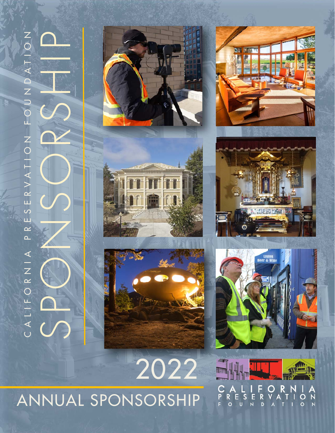# CALIFORNIA PRESERVATION FOUNDATION PRESERVATION FOUNDATION ASS<br>SPONSORS<br>ONSORS CALIFORNIA





2022









 $z \overline{z}$ S  $\mathsf{o}$ D  $\overline{O}$  $\circ$  $\overline{N}$ 

# ANNUAL SPONSORSHIP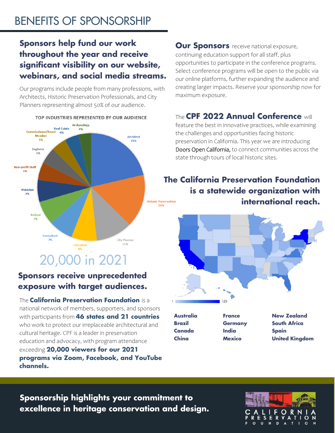#### **Sponsors help fund our work throughout the year and receive significant visibility on our website, webinars, and social media streams.**

Our programs include people from many professions, with Architects, Historic Preservation Professionals, and City Planners representing almost 50% of our audience.



#### **Sponsors receive unprecedented exposure with target audiences.**

The **California Preservation Foundation** is a national network of members, supporters, and sponsors with participants from **46 states and 21 countries**  who work to protect our irreplaceable architectural and cultural heritage. CPF is a leader in preservation education and advocacy, with program attendance exceeding **20,000 viewers for our 2021 programs via Zoom, Facebook, and YouTube channels.** 

**Our Sponsors** receive national exposure, continuing education support for all staff, plus opportunities to participate in the conference programs. Select conference programs will be open to the public via our online platforms, further expanding the audience and creating larger impacts. Reserve your sponsorship now for maximum exposure.

#### The **CPF 2022 Annual Conference** will

feature the best in innovative practices, while examining the challenges and opportunities facing historic preservation in California. This year we are introducing Doors Open California, to connect communities across the state through tours of local historic sites.

#### **The California Preservation Foundation is a statewide organization with international reach.**



**Australia Brazil Canada China** 

**France Germany India Mexico** 

**New Zealand South Africa Spain United Kingdom** 

#### **Sponsorship highlights your commitment to excellence in heritage conservation and design.**

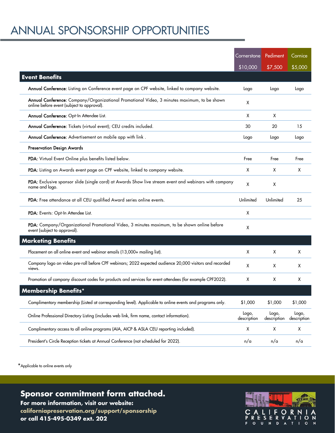## ANNUAL SPONSORSHIP OPPORTUNITIES

|                                                                                                                                           | Cornerstone          | Pediment             | Cornice              |
|-------------------------------------------------------------------------------------------------------------------------------------------|----------------------|----------------------|----------------------|
|                                                                                                                                           | \$10,000             | \$7,500              | \$5,000              |
| <b>Event Benefits</b>                                                                                                                     |                      |                      |                      |
| Annual Conference: Listing on Conference event page on CPF website, linked to company website.                                            | Logo                 | Logo                 | Logo                 |
| Annual Conference: Company/Organizational Promotional Video, 3 minutes maximum, to be shown<br>online before event (subject to approval). | X                    |                      |                      |
| Annual Conference: Opt-In Attendee List.                                                                                                  | X                    | X                    |                      |
| Annual Conference: Tickets (virtual event); CEU credits included.                                                                         | 30                   | 20                   | 15                   |
| Annual Conference: Advertisement on mobile app with link.                                                                                 | Logo                 | Logo                 | Logo                 |
| <b>Preservation Design Awards</b>                                                                                                         |                      |                      |                      |
| PDA: Virtual Event Online plus benefits listed below.                                                                                     | Free                 | Free                 | Free                 |
| PDA: Listing on Awards event page on CPF website, linked to company website.                                                              | X                    | х                    | X                    |
| PDA: Exclusive sponsor slide (single card) at Awards Show live stream event and webinars with company<br>name and logo.                   | X                    | X                    |                      |
| PDA: Free attendance at all CEU qualified Award series online events.                                                                     | Unlimited            | Unlimited            | 25                   |
| PDA: Events: Opt-In Attendee List.                                                                                                        | X                    |                      |                      |
| PDA: Company/Organizational Promotional Video, 3 minutes maximum, to be shown online before<br>event (subject to approval).               | X                    |                      |                      |
| <b>Marketing Benefits</b>                                                                                                                 |                      |                      |                      |
| Placement on all online event and webinar emails (13,000+ mailing list).                                                                  | X                    | X                    | X                    |
| Company logo on video pre-roll before CPF webinars; 2022 expected audience 20,000 visitors and recorded<br>views.                         | X                    | X                    | X                    |
| Promotion of company discount codes for products and services for event attendees (for example CPF2022).                                  | X                    | X                    | X                    |
| <b>Membership Benefits*</b>                                                                                                               |                      |                      |                      |
| Complimentary membership (Listed at corresponding level). Applicable to online events and programs only.                                  | \$1,000              | \$1,000              | \$1,000              |
| Online Professional Directory Listing (includes web link, firm name, contact information).                                                | Logo,<br>description | Logo,<br>description | Logo,<br>description |
| Complimentary access to all online programs (AIA, AICP & ASLA CEU reporting included).                                                    | X                    | X                    | X                    |
| President's Circle Reception tickets at Annual Conference (not scheduled for 2022).                                                       | n/a                  | n/a                  | n/a                  |

\*Applicable to online events only

**Sponsor commitment form attached. Sponsor commitment form attached.** 

**For more information, visit our website: For more information, visit our website: californiapreservation.org/support/sponsorship californiapreservation.org/support/sponsorship or call 415-495-0349 ext. 202 or call 415-495-0349 ext. 202**